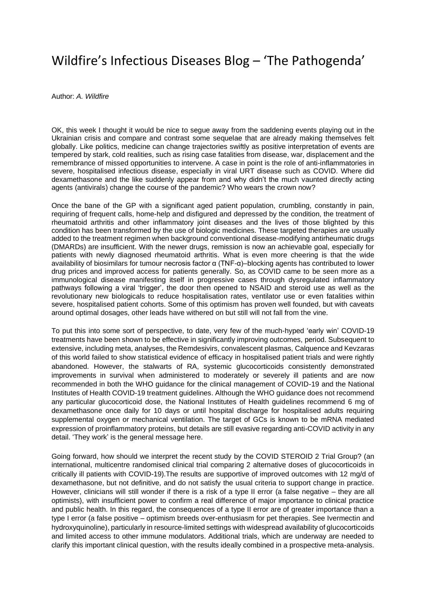## Wildfire's Infectious Diseases Blog – 'The Pathogenda'

Author: *A. Wildfire*

OK, this week I thought it would be nice to segue away from the saddening events playing out in the Ukrainian crisis and compare and contrast some sequelae that are already making themselves felt globally. Like politics, medicine can change trajectories swiftly as positive interpretation of events are tempered by stark, cold realities, such as rising case fatalities from disease, war, displacement and the remembrance of missed opportunities to intervene. A case in point is the role of anti-inflammatories in severe, hospitalised infectious disease, especially in viral URT disease such as COVID. Where did dexamethasone and the like suddenly appear from and why didn't the much vaunted directly acting agents (antivirals) change the course of the pandemic? Who wears the crown now?

Once the bane of the GP with a significant aged patient population, crumbling, constantly in pain, requiring of frequent calls, home-help and disfigured and depressed by the condition, the treatment of rheumatoid arthritis and other inflammatory joint diseases and the lives of those blighted by this condition has been transformed by the use of biologic medicines. These targeted therapies are usually added to the treatment regimen when background conventional disease-modifying antirheumatic drugs (DMARDs) are insufficient. With the newer drugs, remission is now an achievable goal, especially for patients with newly diagnosed rheumatoid arthritis. What is even more cheering is that the wide availability of biosimilars for tumour necrosis factor α (TNF-α)–blocking agents has contributed to lower drug prices and improved access for patients generally. So, as COVID came to be seen more as a immunological disease manifesting itself in progressive cases through dysregulated inflammatory pathways following a viral 'trigger', the door then opened to NSAID and steroid use as well as the revolutionary new biologicals to reduce hospitalisation rates, ventilator use or even fatalities within severe, hospitalised patient cohorts. Some of this optimism has proven well founded, but with caveats around optimal dosages, other leads have withered on but still will not fall from the vine.

To put this into some sort of perspective, to date, very few of the much-hyped 'early win' COVID-19 treatments have been shown to be effective in significantly improving outcomes, period. Subsequent to extensive, including meta, analyses, the Remdesivirs, convalescent plasmas, Calquence and Kevzaras of this world failed to show statistical evidence of efficacy in hospitalised patient trials and were rightly abandoned. However, the stalwarts of RA, systemic glucocorticoids consistently demonstrated improvements in survival when administered to moderately or severely ill patients and are now recommended in both the WHO guidance for the clinical management of COVID-19 and the National Institutes of Health COVID-19 treatment guidelines. Although the WHO guidance does not recommend any particular glucocorticoid dose, the National Institutes of Health guidelines recommend 6 mg of dexamethasone once daily for 10 days or until hospital discharge for hospitalised adults requiring supplemental oxygen or mechanical ventilation. The target of GCs is known to be mRNA mediated expression of proinflammatory proteins, but details are still evasive regarding anti-COVID activity in any detail. 'They work' is the general message here.

Going forward, how should we interpret the recent study by the COVID STEROID 2 Trial Group? (an international, multicentre randomised clinical trial comparing 2 alternative doses of glucocorticoids in critically ill patients with COVID-19).The results are supportive of improved outcomes with 12 mg/d of dexamethasone, but not definitive, and do not satisfy the usual criteria to support change in practice. However, clinicians will still wonder if there is a risk of a type II error (a false negative – they are all optimists), with insufficient power to confirm a real difference of major importance to clinical practice and public health. In this regard, the consequences of a type II error are of greater importance than a type I error (a false positive – optimism breeds over-enthusiasm for pet therapies. See Ivermectin and hydroxyquinoline), particularly in resource-limited settings with widespread availability of glucocorticoids and limited access to other immune modulators. Additional trials, which are underway are needed to clarify this important clinical question, with the results ideally combined in a prospective meta-analysis.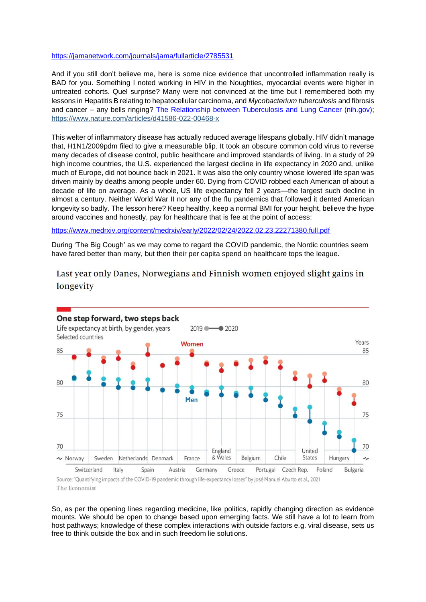## <https://jamanetwork.com/journals/jama/fullarticle/2785531>

And if you still don't believe me, here is some nice evidence that uncontrolled inflammation really is BAD for you. Something I noted working in HIV in the Noughties, myocardial events were higher in untreated cohorts. Quel surprise? Many were not convinced at the time but I remembered both my lessons in Hepatitis B relating to hepatocellular carcinoma, and *Mycobacterium tuberculosis* and fibrosis and cancer – any bells ringing? [The Relationship between Tuberculosis and Lung Cancer \(nih.gov\);](https://www.ncbi.nlm.nih.gov/pmc/articles/PMC5887688/) <https://www.nature.com/articles/d41586-022-00468-x>

This welter of inflammatory disease has actually reduced average lifespans globally. HIV didn't manage that, H1N1/2009pdm filed to give a measurable blip. It took an obscure common cold virus to reverse many decades of disease control, public healthcare and improved standards of living. In a study of 29 high income countries, the U.S. experienced the largest decline in life expectancy in 2020 and, unlike much of Europe, did not bounce back in 2021. It was also the only country whose lowered life span was driven mainly by deaths among people under 60. Dying from COVID robbed each American of about a decade of life on average. As a whole, US life expectancy fell 2 years—the largest such decline in almost a century. Neither World War II nor any of the flu pandemics that followed it dented American longevity so badly. The lesson here? Keep healthy, keep a normal BMI for your height, believe the hype around vaccines and honestly, pay for healthcare that is fee at the point of access:

<https://www.medrxiv.org/content/medrxiv/early/2022/02/24/2022.02.23.22271380.full.pdf>

During 'The Big Cough' as we may come to regard the COVID pandemic, the Nordic countries seem have fared better than many, but then their per capita spend on healthcare tops the league.

Last year only Danes, Norwegians and Finnish women enjoyed slight gains in longevity



The Economist

So, as per the opening lines regarding medicine, like politics, rapidly changing direction as evidence mounts. We should be open to change based upon emerging facts. We still have a lot to learn from host pathways; knowledge of these complex interactions with outside factors e.g. viral disease, sets us free to think outside the box and in such freedom lie solutions.